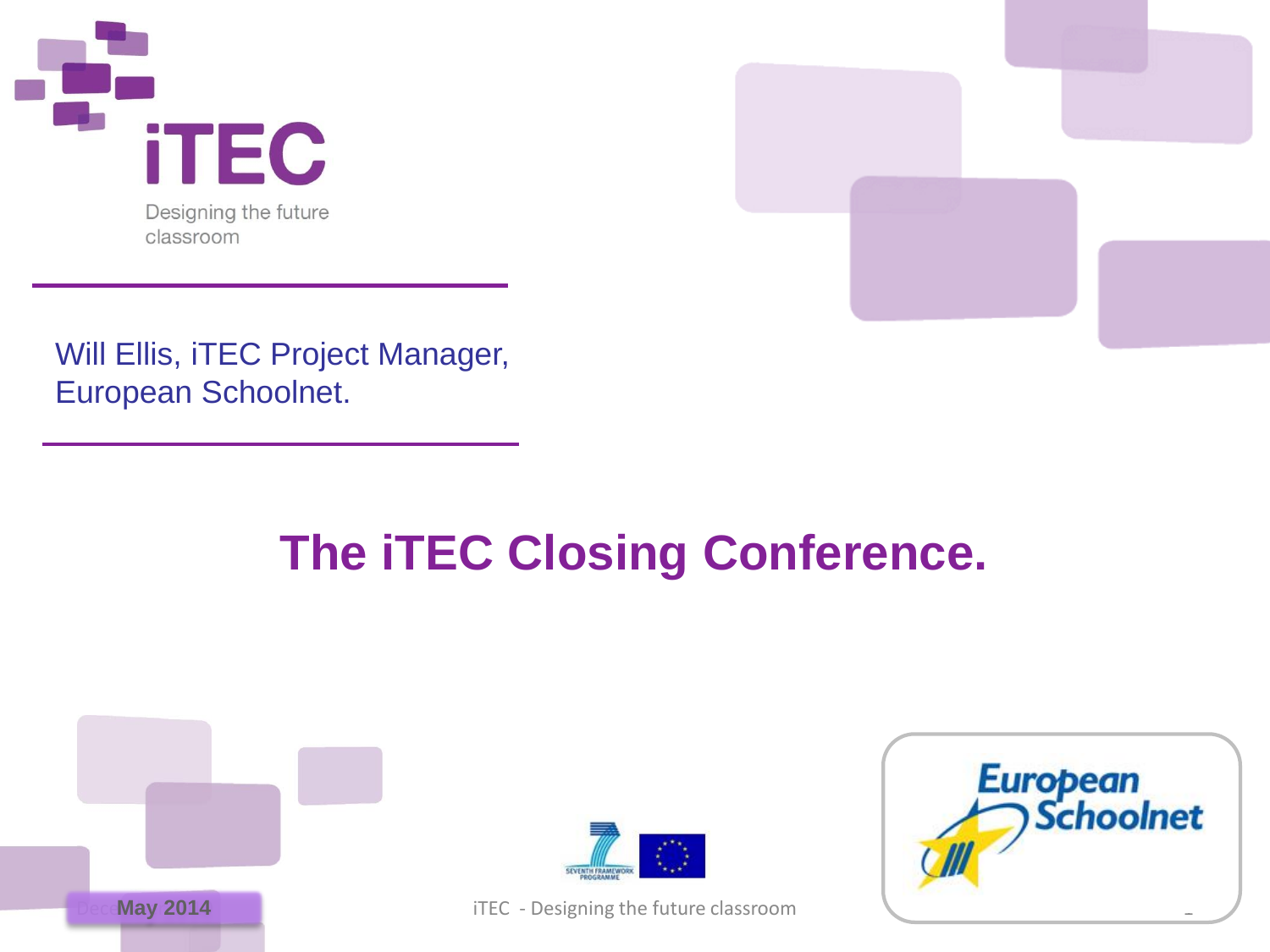



Will Ellis, iTEC Project Manager, European Schoolnet.

# **The iTEC Closing Conference.**





iTEC - Designing the future classroom

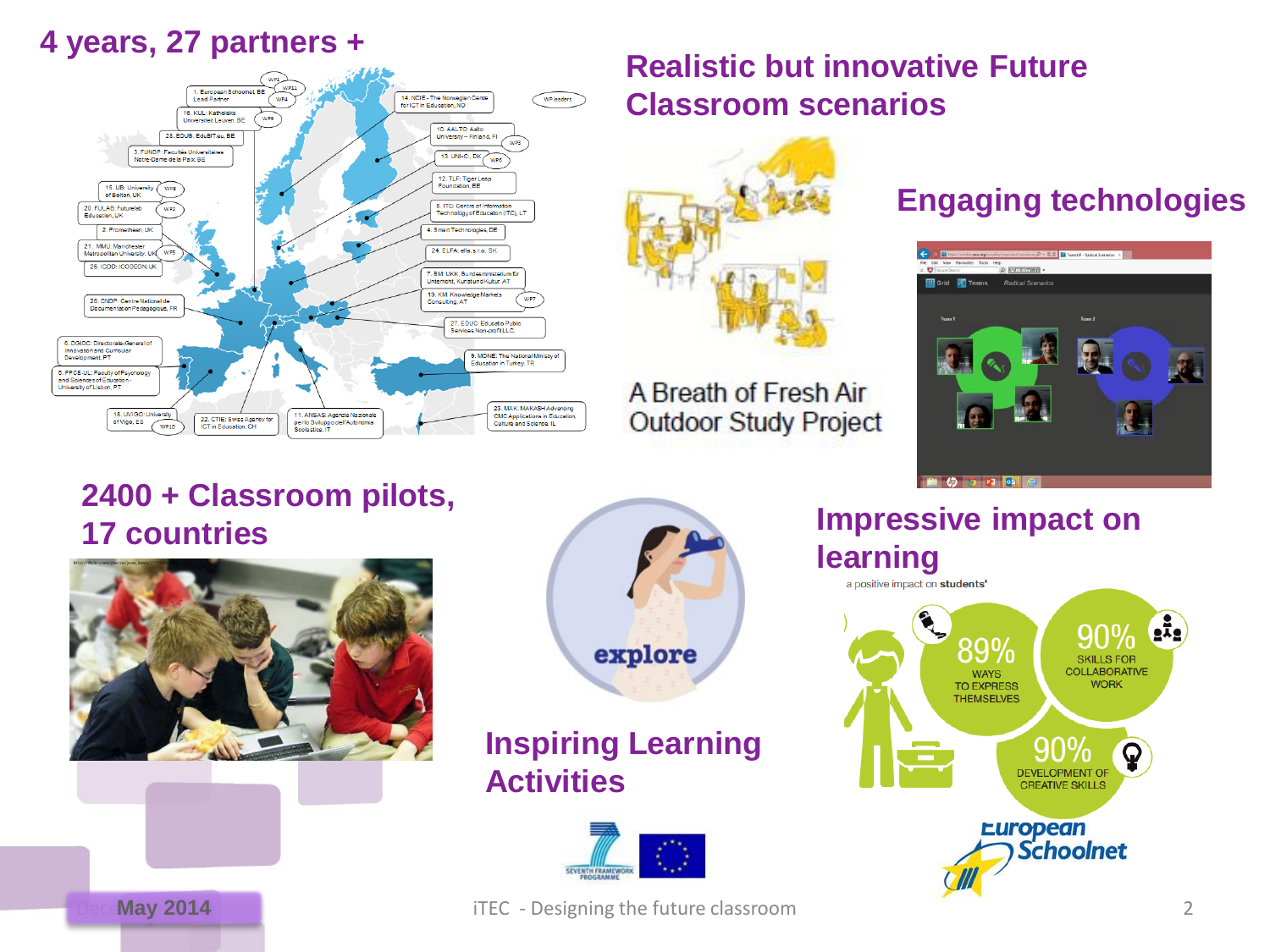#### **4 years, 27 partners +**



#### **Realistic but innovative Future Classroom scenarios**



A Breath of Fresh Air **Outdoor Study Project** 

### **Engaging technologies**



#### **2400 + Classroom pilots, 17 countries 17** countries





#### **Inspiring Learning Activities**



# **learning** a positive impact on students'



**May 2014 May 2014 iTEC** - Designing the future classroom 2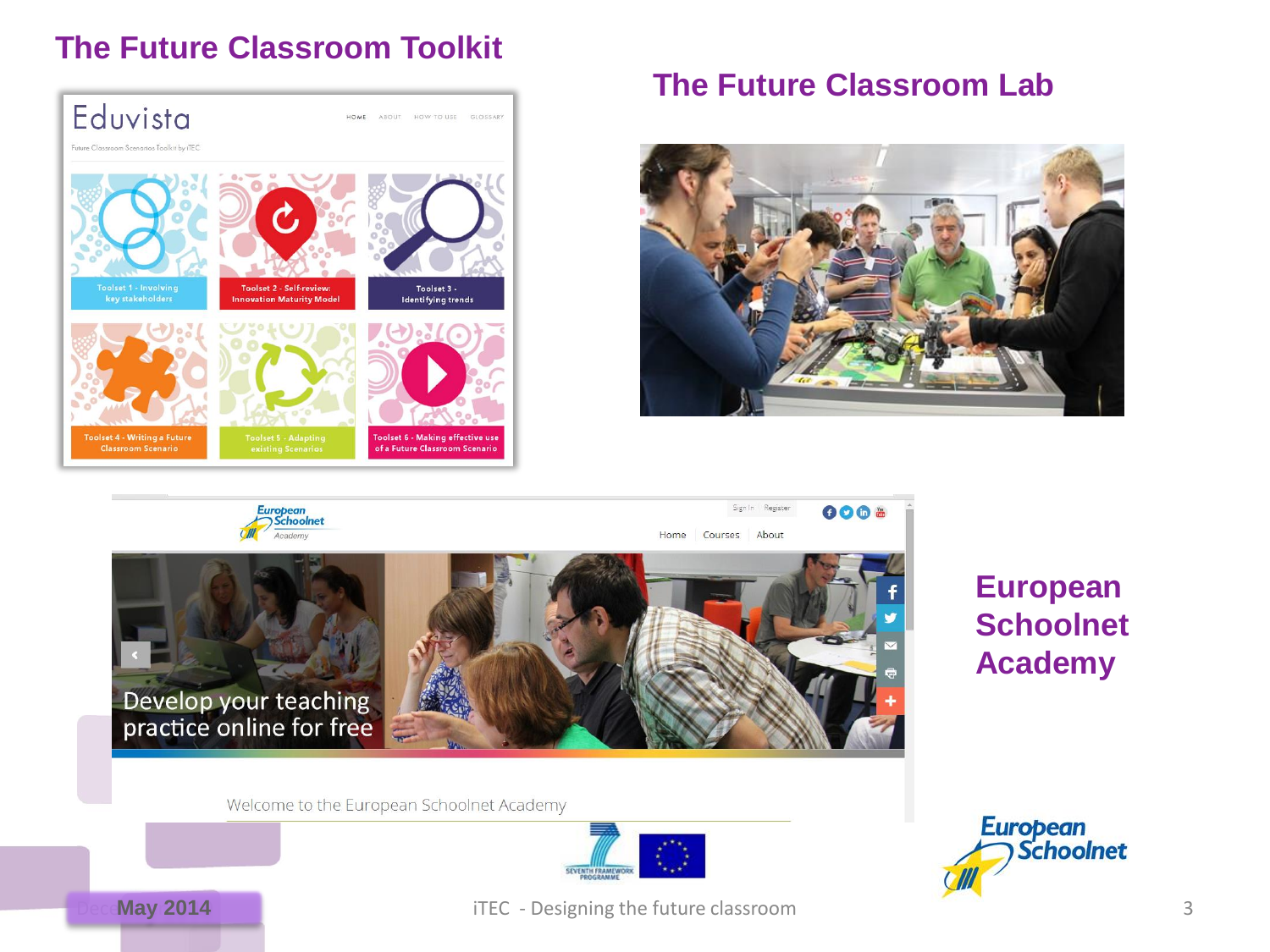#### **The Future Classroom Toolkit**



#### **The Future Classroom Lab**





### **European Schoolnet Academy**

Welcome to the European Schoolnet Academy







**May 2014 May 2014 iTEC** - Designing the future classroom 3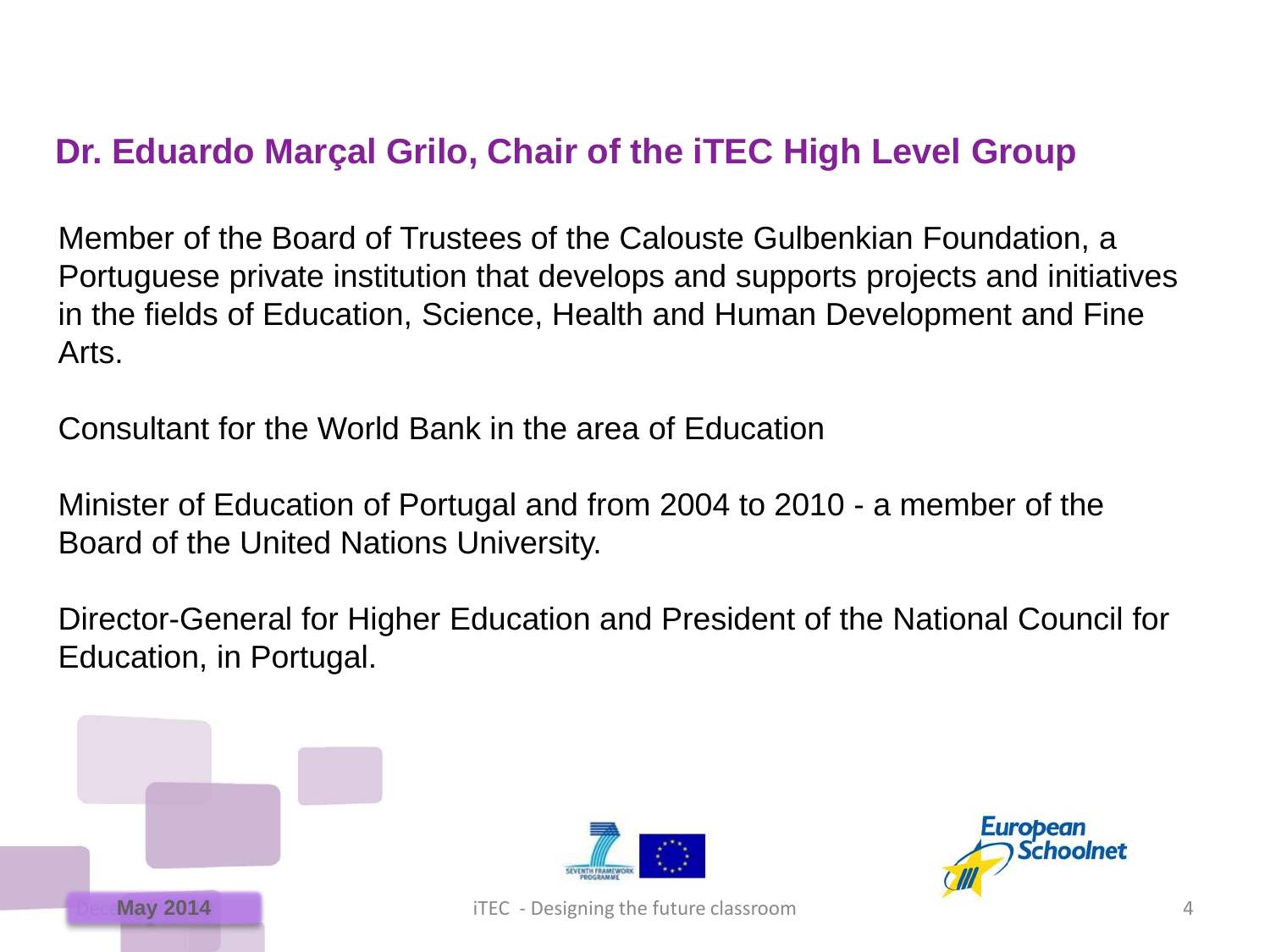## **Dr. Eduardo Marçal Grilo, Chair of the iTEC High Level Group**

Member of the Board of Trustees of the Calouste Gulbenkian Foundation, a Portuguese private institution that develops and supports projects and initiatives in the fields of Education, Science, Health and Human Development and Fine Arts.

Consultant for the World Bank in the area of Education

Minister of Education of Portugal and from 2004 to 2010 - a member of the Board of the United Nations University.

Director-General for Higher Education and President of the National Council for Education, in Portugal.





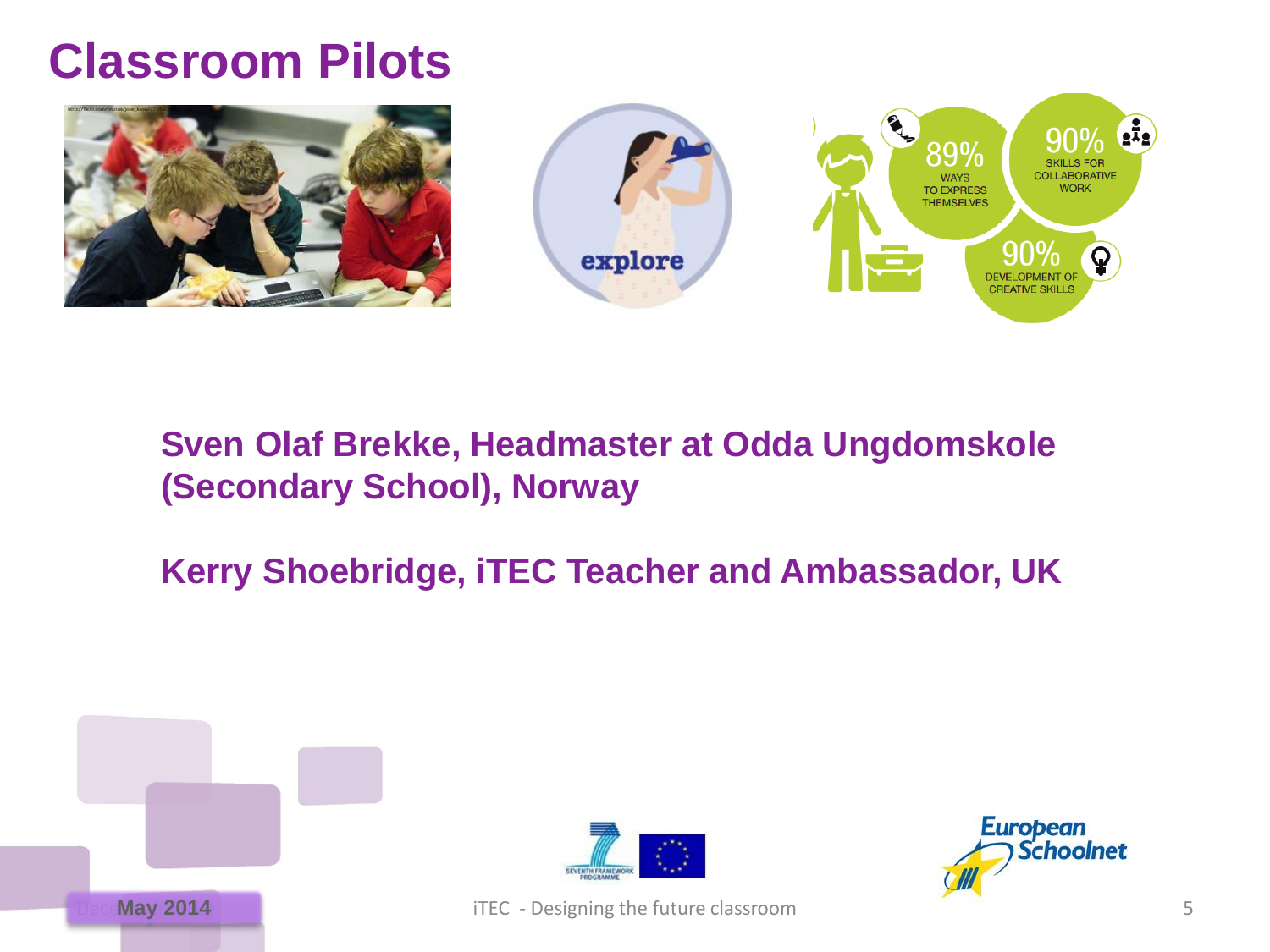# **Classroom Pilots**





## **Sven Olaf Brekke, Headmaster at Odda Ungdomskole (Secondary School), Norway**

## **Kerry Shoebridge, iTEC Teacher and Ambassador, UK**







**May 2014 May 2014 iTEC** - Designing the future classroom 5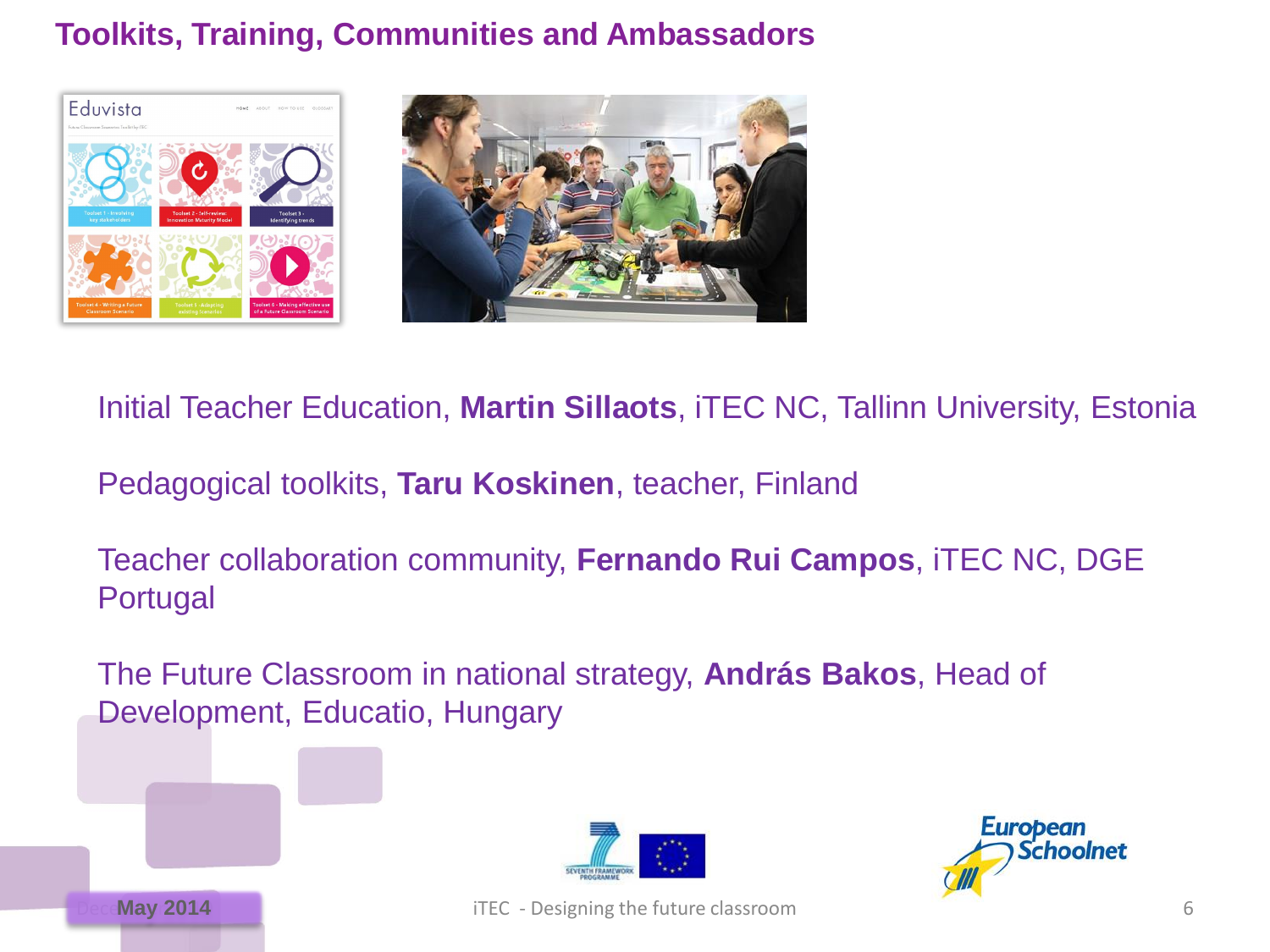### **Toolkits, Training, Communities and Ambassadors**



Initial Teacher Education, **Martin Sillaots**, iTEC NC, Tallinn University, Estonia

Pedagogical toolkits, **Taru Koskinen**, teacher, Finland

Teacher collaboration community, **Fernando Rui Campos**, iTEC NC, DGE Portugal

The Future Classroom in national strategy, **András Bakos**, Head of Development, Educatio, Hungary